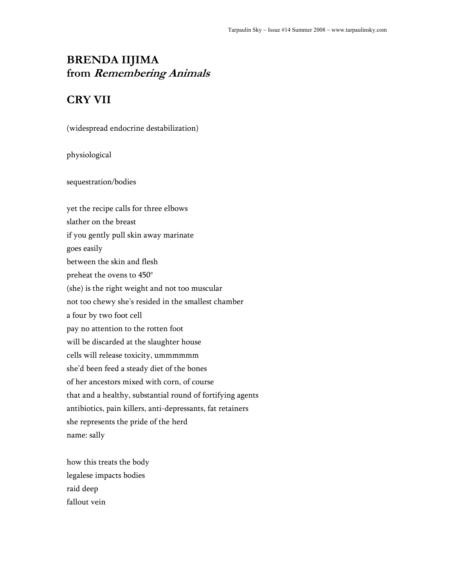# **BRENDA IIJIMA from Remembering Animals**

## **CRY VII**

(widespread endocrine destabilization)

physiological

sequestration/bodies

yet the recipe calls for three elbows slather on the breast if you gently pull skin away marinate goes easily between the skin and flesh preheat the ovens to 450° (she) is the right weight and not too muscular not too chewy she's resided in the smallest chamber a four by two foot cell pay no attention to the rotten foot will be discarded at the slaughter house cells will release toxicity, ummmmmm she'd been feed a steady diet of the bones of her ancestors mixed with corn, of course that and a healthy, substantial round of fortifying agents antibiotics, pain killers, anti-depressants, fat retainers she represents the pride of the herd name: sally

how this treats the body legalese impacts bodies raid deep fallout vein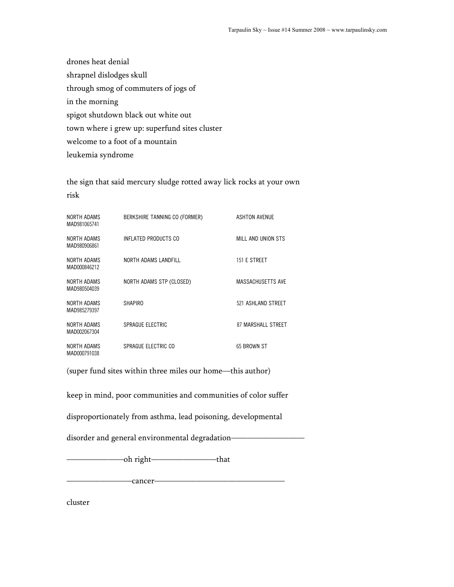drones heat denial shrapnel dislodges skull through smog of commuters of jogs of in the morning spigot shutdown black out white out town where i grew up: superfund sites cluster welcome to a foot of a mountain leukemia syndrome

the sign that said mercury sludge rotted away lick rocks at your own risk

| NORTH ADAMS<br>MAD981065741 | BERKSHIRE TANNING CO (FORMER) | <b>ASHTON AVENUE</b>     |
|-----------------------------|-------------------------------|--------------------------|
| NORTH ADAMS<br>MAD980906861 | INFLATED PRODUCTS CO          | MILL AND UNION STS       |
| NORTH ADAMS<br>MAD000846212 | NORTH ADAMS LANDFILL          | 151 E STREET             |
| NORTH ADAMS<br>MAD980504039 | NORTH ADAMS STP (CLOSED)      | <b>MASSACHUSETTS AVE</b> |
| NORTH ADAMS<br>MAD985279397 | <b>SHAPIRO</b>                | 521 ASHLAND STREET       |
| NORTH ADAMS<br>MAD002067304 | SPRAGUE ELECTRIC              | 87 MARSHALL STREET       |
| NORTH ADAMS<br>MAD000791038 | SPRAGUE ELECTRIC CO           | 65 BROWN ST              |

(super fund sites within three miles our home—this author)

keep in mind, poor communities and communities of color suffer

disproportionately from asthma, lead poisoning, developmental

disorder and general environmental degradation-

———————oh right————————that

————————cancer————————————————

cluster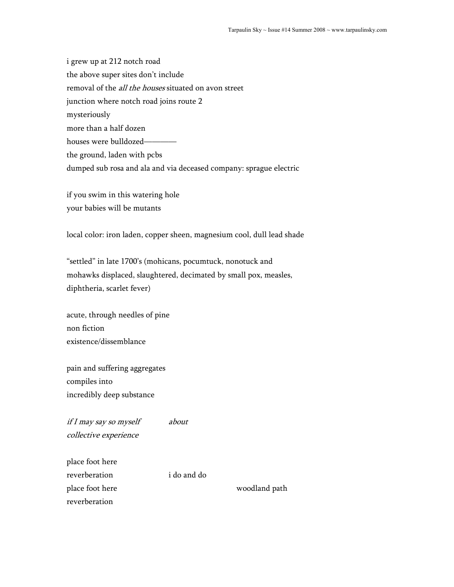i grew up at 212 notch road the above super sites don't include removal of the *all the houses* situated on avon street junction where notch road joins route 2 mysteriously more than a half dozen houses were bulldozedthe ground, laden with pcbs dumped sub rosa and ala and via deceased company: sprague electric

if you swim in this watering hole your babies will be mutants

local color: iron laden, copper sheen, magnesium cool, dull lead shade

"settled" in late 1700's (mohicans, pocumtuck, nonotuck and mohawks displaced, slaughtered, decimated by small pox, measles, diphtheria, scarlet fever)

acute, through needles of pine non fiction existence/dissemblance

pain and suffering aggregates compiles into incredibly deep substance

if I may say so myself about collective experience

place foot here reverberation i do and do place foot here woodland path reverberation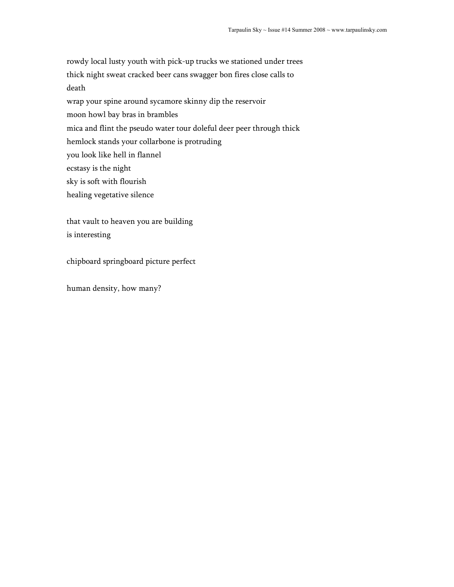rowdy local lusty youth with pick-up trucks we stationed under trees thick night sweat cracked beer cans swagger bon fires close calls to death

wrap your spine around sycamore skinny dip the reservoir

moon howl bay bras in brambles

mica and flint the pseudo water tour doleful deer peer through thick

hemlock stands your collarbone is protruding

you look like hell in flannel

ecstasy is the night

sky is soft with flourish

healing vegetative silence

that vault to heaven you are building is interesting

chipboard springboard picture perfect

human density, how many?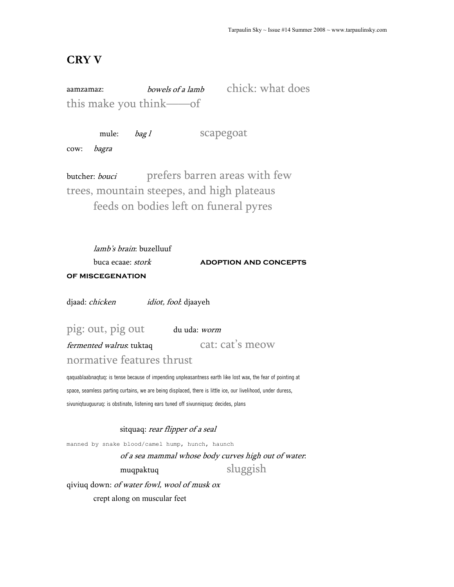### **CRY V**

aamzamaz: bowels of a lamb chick: what does this make you think——of

mule: *bag l* scapegoat

cow: bagra

butcher: bouci prefers barren areas with few trees, mountain steepes, and high plateaus feeds on bodies left on funeral pyres

lamb's brain: buzelluuf buca ecaae: *stork* **ADOPTION AND CONCEPTS of miscegenation** 

djaad: *chicken idiot, fool*: djaayeh

pig: out, pig out du uda: worm

fermented walrus: tuktaq cat: cat's meow normative features thrust

qaquablaabnaqtuq: is tense because of impending unpleasantness earth like lost wax, the fear of pointing at space, seamless parting curtains, we are being displaced, there is little ice, our livelihood, under duress, sivuniqtuuguuruq: is obstinate, listening ears tuned off sivunniqsuq: decides, plans

sitquaq: rear flipper of a seal

manned by snake blood/camel hump, hunch, haunch

of a sea mammal whose body curves high out of water: muqpaktuq sluggish

qiviuq down: of water fowl, wool of musk ox crept along on muscular feet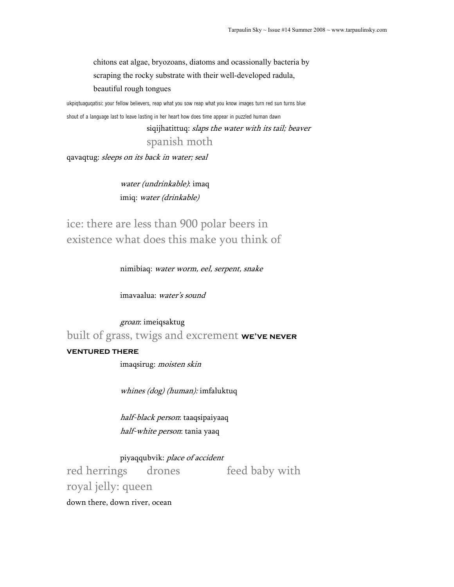chitons eat algae, bryozoans, diatoms and ocassionally bacteria by scraping the rocky substrate with their well-developed radula, beautiful rough tongues

ukpiqtuaguqatisi: your fellow believers, reap what you sow reap what you know images turn red sun turns blue shout of a language last to leave lasting in her heart how does time appear in puzzled human dawn

> siqijhatittuq: slaps the water with its tail; beaver spanish moth

qavaqtug: sleeps on its back in water; seal

water (undrinkable): imaq imiq: water (drinkable)

ice: there are less than 900 polar beers in existence what does this make you think of

nimibiaq: water worm, eel, serpent, snake

imavaalua: water's sound

groan: imeiqsaktug built of grass, twigs and excrement **we've never** 

### **ventured there**

imaqsirug: moisten skin

whines (dog) (human): imfaluktuq

half-black person: taaqsipaiyaaq half-white person: tania yaaq

piyaqqubvik: place of accident

red herrings drones feed baby with royal jelly: queen

down there, down river, ocean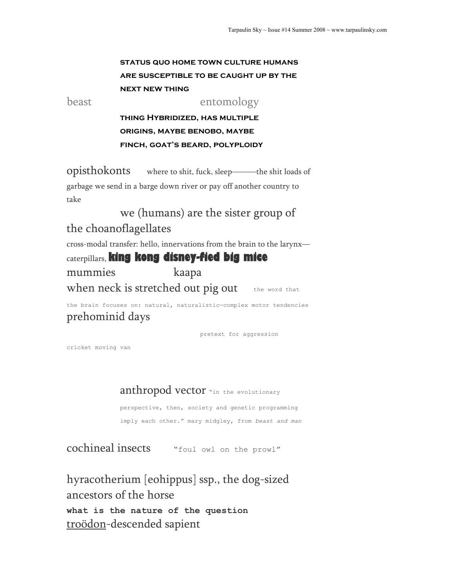## **status quo home town culture humans are susceptible to be caught up by the next new thing**

beast entomology

**thing Hybridized, has multiple origins, maybe benobo, maybe finch, goat's beard, polyploidy** 

opisthokonts where to shit, fuck, sleep———the shit loads of garbage we send in a barge down river or pay off another country to take

 we (humans) are the sister group of the choanoflagellates

cross-modal transfer: hello, innervations from the brain to the larynx caterpillars, **king kong disney-fied big mice** mummies kaapa when neck is stretched out pig out the word that

the brain focuses on: natural, naturalistic—complex motor tendencies prehominid days

pretext for aggression

cricket moving van

anthropod vector "in the evolutionary

perspective, then, society and genetic programming imply each other." mary midgley, from *beast and man* 

cochineal insects "foul owl on the prowl"

hyracotherium [eohippus] ssp., the dog-sized ancestors of the horse **what is the nature of the question**  troödon-descended sapient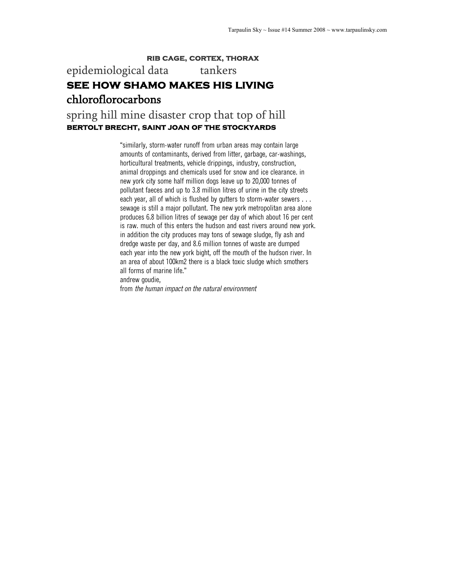#### **rib cage, cortex, thorax**

# epidemiological data tankers **see how shamo makes his living**  chloroflorocarbons

## spring hill mine disaster crop that top of hill **bertolt brecht, saint joan of the stockyards**

"similarly, storm-water runoff from urban areas may contain large amounts of contaminants, derived from litter, garbage, car-washings, horticultural treatments, vehicle drippings, industry, construction, animal droppings and chemicals used for snow and ice clearance. in new york city some half million dogs leave up to 20,000 tonnes of pollutant faeces and up to 3.8 million litres of urine in the city streets each year, all of which is flushed by gutters to storm-water sewers . . . sewage is still a major pollutant. The new york metropolitan area alone produces 6.8 billion litres of sewage per day of which about 16 per cent is raw. much of this enters the hudson and east rivers around new york. in addition the city produces may tons of sewage sludge, fly ash and dredge waste per day, and 8.6 million tonnes of waste are dumped each year into the new york bight, off the mouth of the hudson river. In an area of about 100km2 there is a black toxic sludge which smothers all forms of marine life." andrew goudie,

from *the human impact on the natural environment*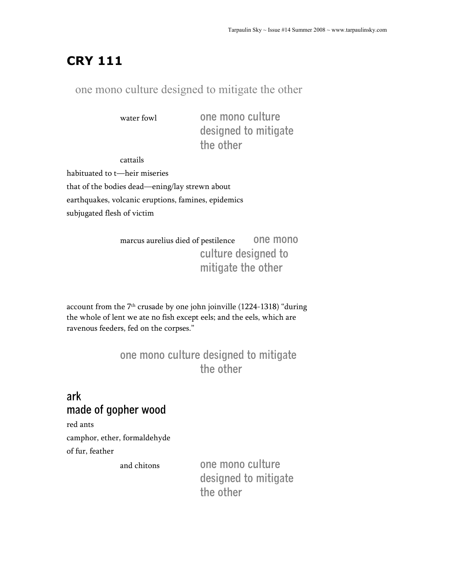# **CRY 111**

## one mono culture designed to mitigate the other

water fowl **one mono culture designed to mitigate the other**

cattails habituated to t—heir miseries that of the bodies dead—ening/lay strewn about earthquakes, volcanic eruptions, famines, epidemics subjugated flesh of victim

> marcus aurelius died of pestilence **one mono culture designed to mitigate the other**

account from the 7<sup>th</sup> crusade by one john joinville (1224-1318) "during the whole of lent we ate no fish except eels; and the eels, which are ravenous feeders, fed on the corpses."

# **one mono culture designed to mitigate the other**

# **ark made of gopher wood**

red ants

camphor, ether, formaldehyde of fur, feather

and chitons **one mono culture designed to mitigate the other**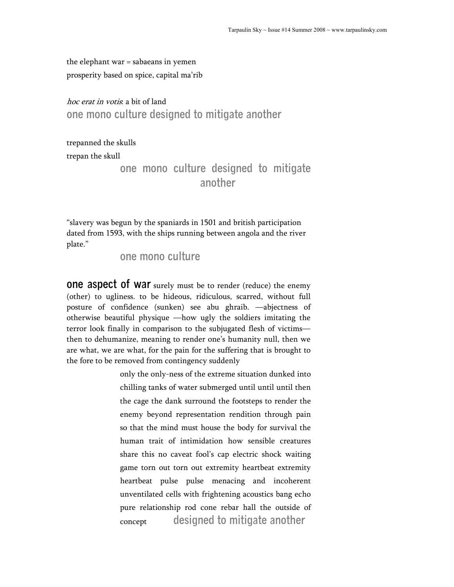the elephant war = sabaeans in yemen prosperity based on spice, capital ma'rib

hoc erat in votis: a bit of land **one mono culture designed to mitigate another**

trepanned the skulls trepan the skull

> **one mono culture designed to mitigate another**

"slavery was begun by the spaniards in 1501 and british participation dated from 1593, with the ships running between angola and the river plate."

**one mono culture** 

**ONE ASPECT OF WAT** surely must be to render (reduce) the enemy (other) to ugliness. to be hideous, ridiculous, scarred, without full posture of confidence (sunken) see abu ghraib. —abjectness of otherwise beautiful physique —how ugly the soldiers imitating the terror look finally in comparison to the subjugated flesh of victims then to dehumanize, meaning to render one's humanity null, then we are what, we are what, for the pain for the suffering that is brought to the fore to be removed from contingency suddenly

> only the only-ness of the extreme situation dunked into chilling tanks of water submerged until until until then the cage the dank surround the footsteps to render the enemy beyond representation rendition through pain so that the mind must house the body for survival the human trait of intimidation how sensible creatures share this no caveat fool's cap electric shock waiting game torn out torn out extremity heartbeat extremity heartbeat pulse pulse menacing and incoherent unventilated cells with frightening acoustics bang echo pure relationship rod cone rebar hall the outside of concept **designed to mitigate another**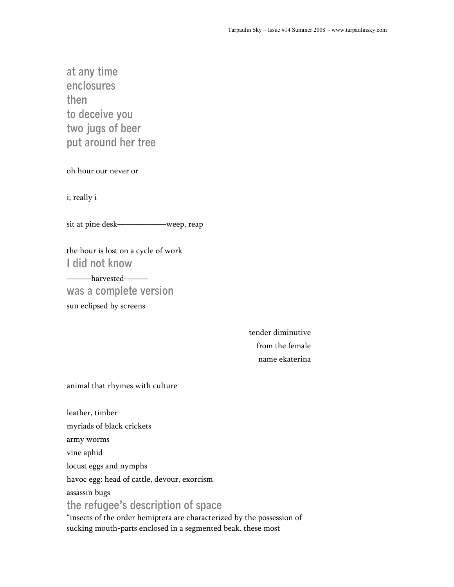**at any time enclosures then to deceive you two jugs of beer put around her tree** 

oh hour our never or

i, really i

sit at pine desk——————weep, reap

the hour is lost on a cycle of work **I did not know** 

———harvested—— **was a complete version**  sun eclipsed by screens

> tender diminutive from the female name ekaterina

animal that rhymes with culture

leather, timber myriads of black crickets army worms vine aphid locust eggs and nymphs havoc egg: head of cattle, devour, exorcism assassin bugs **the refugee's description of space**  "insects of the order hemiptera are characterized by the possession of

sucking mouth-parts enclosed in a segmented beak. these most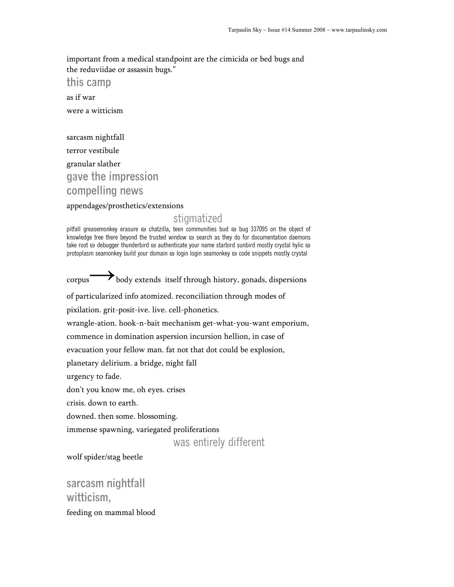important from a medical standpoint are the cimicida or bed bugs and the reduviidae or assassin bugs."

**this camp** 

as if war

were a witticism

sarcasm nightfall terror vestibule granular slather **gave the impression compelling news** 

#### appendages/prosthetics/extensions

### stigmatized

pitfall greasemonkey erasure ₪ chatzilla, teen communities bud ₪ bug 337095 on the object of knowledge tree there beyond the trusted window ₪ search as they do for documentation daemons take root ₪ debugger thunderbird ₪ authenticate your name starbird sunbird mostly crystal hylic ₪ protoplasm seamonkey build your domain ₪ login login seamonkey ₪ code snippets mostly crystal

corpus body extends itself through history, gonads, dispersions of particularized info atomized. reconciliation through modes of pixilation. grit-posit-ive. live. cell-phonetics. wrangle-ation. hook-n-bait mechanism get-what-you-want emporium, commence in domination aspersion incursion hellion, in case of evacuation your fellow man. fat not that dot could be explosion, planetary delirium. a bridge, night fall urgency to fade. don't you know me, oh eyes. crises crisis. down to earth. downed. then some. blossoming. immense spawning, variegated proliferations was entirely different

wolf spider/stag beetle

**sarcasm nightfall witticism,**  feeding on mammal blood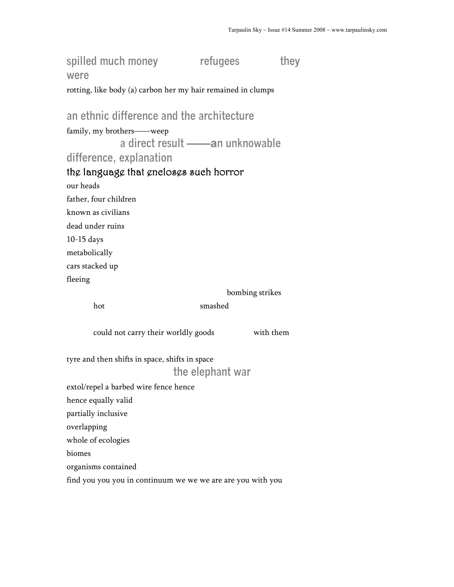spilled much money refugees they **were**  rotting, like body (a) carbon her my hair remained in clumps **an ethnic difference and the architecture**  family, my brothers——weep **a direct result ——an unknowable difference, explanation**  the language that encloses such horror our heads father, four children known as civilians dead under ruins 10-15 days metabolically cars stacked up fleeing bombing strikes hot smashed could not carry their worldly goods with them tyre and then shifts in space, shifts in space **the elephant war**  extol/repel a barbed wire fence hence hence equally valid partially inclusive overlapping whole of ecologies biomes organisms contained find you you you in continuum we we we are are you with you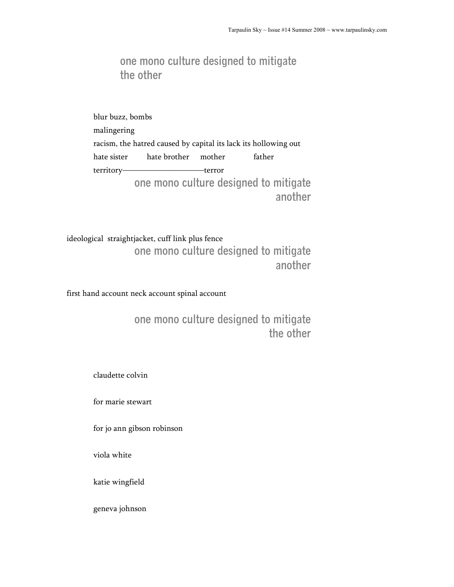## **one mono culture designed to mitigate the other**

blur buzz, bombs malingering racism, the hatred caused by capital its lack its hollowing out hate sister hate brother mother father territory——————————terror **one mono culture designed to mitigate another** 

ideological straightjacket, cuff link plus fence **one mono culture designed to mitigate another** 

first hand account neck account spinal account

**one mono culture designed to mitigate the other** 

claudette colvin

for marie stewart

for jo ann gibson robinson

viola white

katie wingfield

geneva johnson